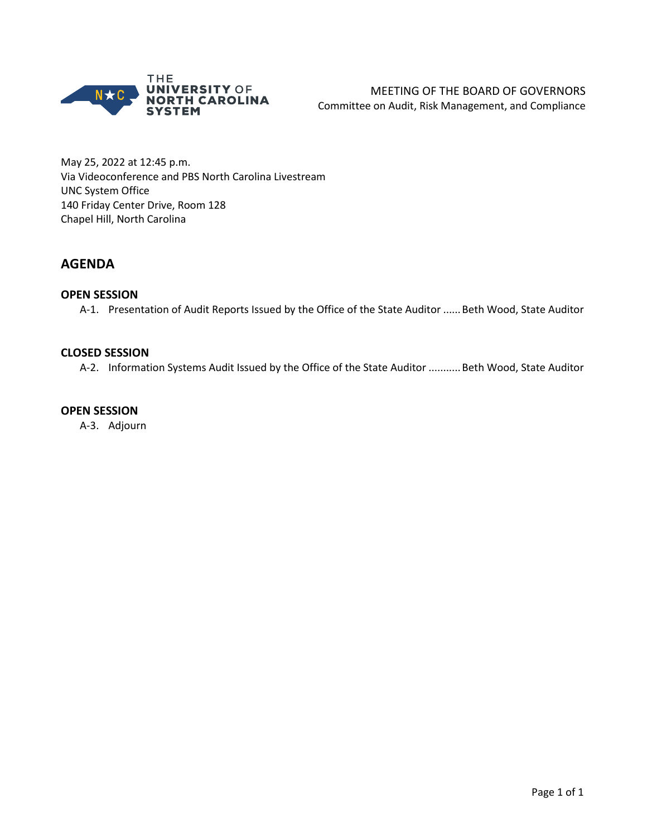

May 25, 2022 at 12:45 p.m. Via Videoconference and PBS North Carolina Livestream UNC System Office 140 Friday Center Drive, Room 128 Chapel Hill, North Carolina

# **AGENDA**

### **OPEN SESSION**

A-1. Presentation of Audit Reports Issued by the Office of the State Auditor ...... Beth Wood, State Auditor

### **CLOSED SESSION**

A-2. Information Systems Audit Issued by the Office of the State Auditor ...........Beth Wood, State Auditor

#### **OPEN SESSION**

A-3. Adjourn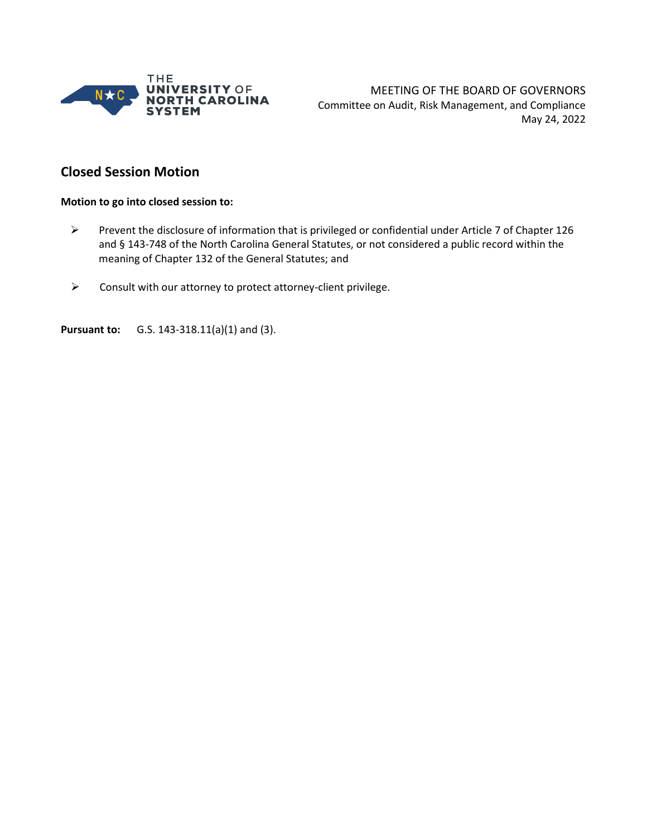

MEETING OF THE BOARD OF GOVERNORS Committee on Audit, Risk Management, and Compliance May 24, 2022

# **Closed Session Motion**

#### **Motion to go into closed session to:**

- Prevent the disclosure of information that is privileged or confidential under Article 7 of Chapter 126 and § 143-748 of the North Carolina General Statutes, or not considered a public record within the meaning of Chapter 132 of the General Statutes; and
- $\triangleright$  Consult with our attorney to protect attorney-client privilege.

**Pursuant to:** G.S. 143-318.11(a)(1) and (3).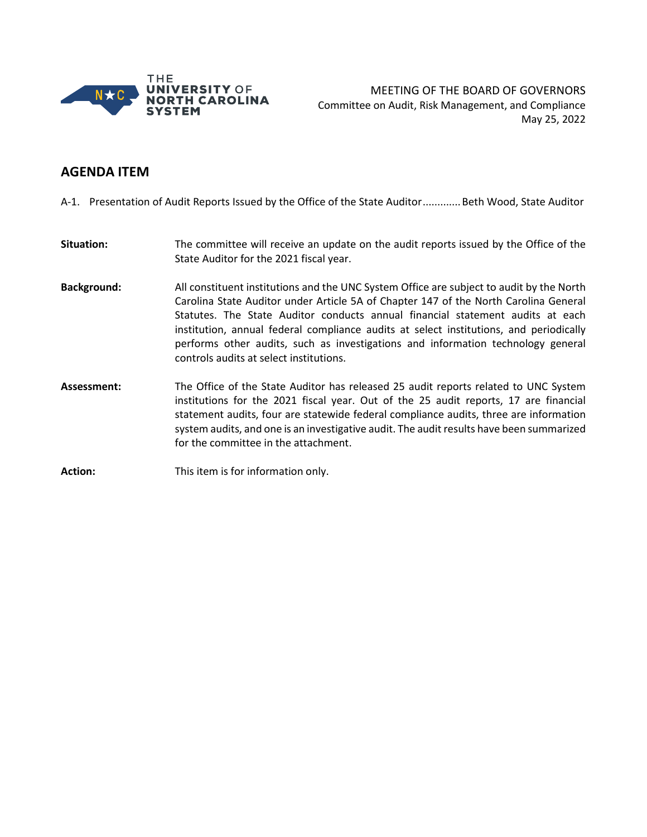

MEETING OF THE BOARD OF GOVERNORS Committee on Audit, Risk Management, and Compliance May 25, 2022

## **AGENDA ITEM**

A-1. Presentation of Audit Reports Issued by the Office of the State Auditor.............Beth Wood, State Auditor

- **Situation:** The committee will receive an update on the audit reports issued by the Office of the State Auditor for the 2021 fiscal year.
- **Background:** All constituent institutions and the UNC System Office are subject to audit by the North Carolina State Auditor under Article 5A of Chapter 147 of the North Carolina General Statutes. The State Auditor conducts annual financial statement audits at each institution, annual federal compliance audits at select institutions, and periodically performs other audits, such as investigations and information technology general controls audits at select institutions.
- **Assessment:** The Office of the State Auditor has released 25 audit reports related to UNC System institutions for the 2021 fiscal year. Out of the 25 audit reports, 17 are financial statement audits, four are statewide federal compliance audits, three are information system audits, and one is an investigative audit. The audit results have been summarized for the committee in the attachment.

**Action:** This item is for information only.